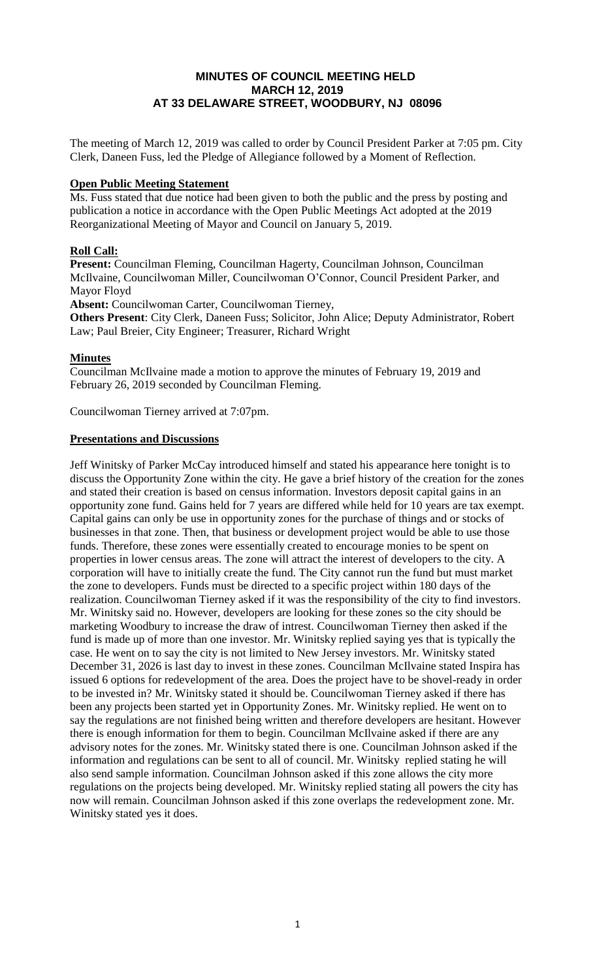# **MINUTES OF COUNCIL MEETING HELD MARCH 12, 2019 AT 33 DELAWARE STREET, WOODBURY, NJ 08096**

The meeting of March 12, 2019 was called to order by Council President Parker at 7:05 pm. City Clerk, Daneen Fuss, led the Pledge of Allegiance followed by a Moment of Reflection.

## **Open Public Meeting Statement**

Ms. Fuss stated that due notice had been given to both the public and the press by posting and publication a notice in accordance with the Open Public Meetings Act adopted at the 2019 Reorganizational Meeting of Mayor and Council on January 5, 2019.

# **Roll Call:**

**Present:** Councilman Fleming, Councilman Hagerty, Councilman Johnson, Councilman McIlvaine, Councilwoman Miller, Councilwoman O'Connor, Council President Parker, and Mayor Floyd

**Absent:** Councilwoman Carter, Councilwoman Tierney,

**Others Present**: City Clerk, Daneen Fuss; Solicitor, John Alice; Deputy Administrator, Robert Law; Paul Breier, City Engineer; Treasurer, Richard Wright

# **Minutes**

Councilman McIlvaine made a motion to approve the minutes of February 19, 2019 and February 26, 2019 seconded by Councilman Fleming.

Councilwoman Tierney arrived at 7:07pm.

#### **Presentations and Discussions**

Jeff Winitsky of Parker McCay introduced himself and stated his appearance here tonight is to discuss the Opportunity Zone within the city. He gave a brief history of the creation for the zones and stated their creation is based on census information. Investors deposit capital gains in an opportunity zone fund. Gains held for 7 years are differed while held for 10 years are tax exempt. Capital gains can only be use in opportunity zones for the purchase of things and or stocks of businesses in that zone. Then, that business or development project would be able to use those funds. Therefore, these zones were essentially created to encourage monies to be spent on properties in lower census areas. The zone will attract the interest of developers to the city. A corporation will have to initially create the fund. The City cannot run the fund but must market the zone to developers. Funds must be directed to a specific project within 180 days of the realization. Councilwoman Tierney asked if it was the responsibility of the city to find investors. Mr. Winitsky said no. However, developers are looking for these zones so the city should be marketing Woodbury to increase the draw of intrest. Councilwoman Tierney then asked if the fund is made up of more than one investor. Mr. Winitsky replied saying yes that is typically the case. He went on to say the city is not limited to New Jersey investors. Mr. Winitsky stated December 31, 2026 is last day to invest in these zones. Councilman McIlvaine stated Inspira has issued 6 options for redevelopment of the area. Does the project have to be shovel-ready in order to be invested in? Mr. Winitsky stated it should be. Councilwoman Tierney asked if there has been any projects been started yet in Opportunity Zones. Mr. Winitsky replied. He went on to say the regulations are not finished being written and therefore developers are hesitant. However there is enough information for them to begin. Councilman McIlvaine asked if there are any advisory notes for the zones. Mr. Winitsky stated there is one. Councilman Johnson asked if the information and regulations can be sent to all of council. Mr. Winitsky replied stating he will also send sample information. Councilman Johnson asked if this zone allows the city more regulations on the projects being developed. Mr. Winitsky replied stating all powers the city has now will remain. Councilman Johnson asked if this zone overlaps the redevelopment zone. Mr. Winitsky stated yes it does.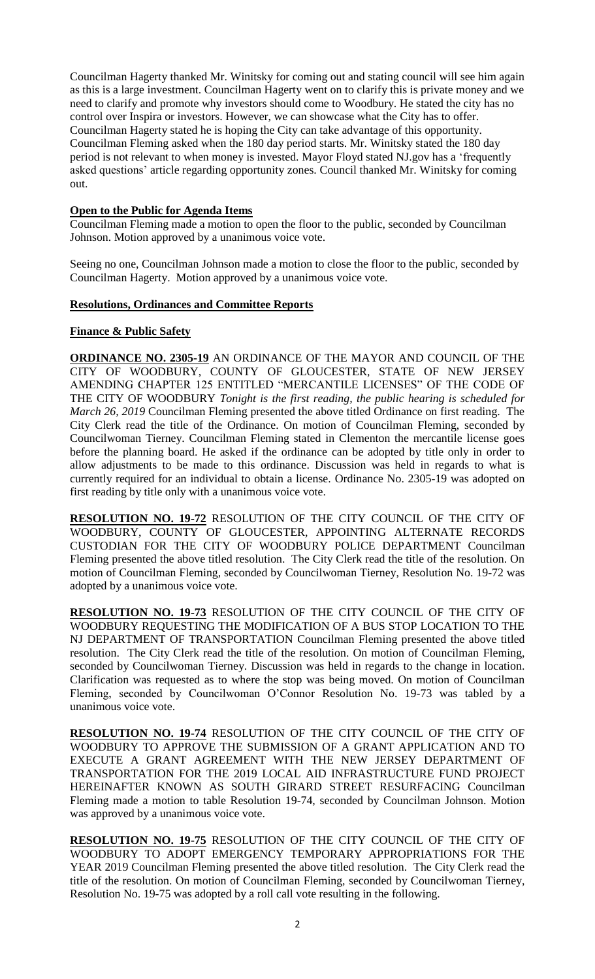Councilman Hagerty thanked Mr. Winitsky for coming out and stating council will see him again as this is a large investment. Councilman Hagerty went on to clarify this is private money and we need to clarify and promote why investors should come to Woodbury. He stated the city has no control over Inspira or investors. However, we can showcase what the City has to offer. Councilman Hagerty stated he is hoping the City can take advantage of this opportunity. Councilman Fleming asked when the 180 day period starts. Mr. Winitsky stated the 180 day period is not relevant to when money is invested. Mayor Floyd stated NJ.gov has a 'frequently asked questions' article regarding opportunity zones. Council thanked Mr. Winitsky for coming out.

## **Open to the Public for Agenda Items**

Councilman Fleming made a motion to open the floor to the public, seconded by Councilman Johnson. Motion approved by a unanimous voice vote.

Seeing no one, Councilman Johnson made a motion to close the floor to the public, seconded by Councilman Hagerty. Motion approved by a unanimous voice vote.

#### **Resolutions, Ordinances and Committee Reports**

# **Finance & Public Safety**

**ORDINANCE NO. 2305-19** AN ORDINANCE OF THE MAYOR AND COUNCIL OF THE CITY OF WOODBURY, COUNTY OF GLOUCESTER, STATE OF NEW JERSEY AMENDING CHAPTER 125 ENTITLED "MERCANTILE LICENSES" OF THE CODE OF THE CITY OF WOODBURY *Tonight is the first reading, the public hearing is scheduled for March 26, 2019* Councilman Fleming presented the above titled Ordinance on first reading. The City Clerk read the title of the Ordinance. On motion of Councilman Fleming, seconded by Councilwoman Tierney. Councilman Fleming stated in Clementon the mercantile license goes before the planning board. He asked if the ordinance can be adopted by title only in order to allow adjustments to be made to this ordinance. Discussion was held in regards to what is currently required for an individual to obtain a license. Ordinance No. 2305-19 was adopted on first reading by title only with a unanimous voice vote.

**RESOLUTION NO. 19-72** RESOLUTION OF THE CITY COUNCIL OF THE CITY OF WOODBURY, COUNTY OF GLOUCESTER, APPOINTING ALTERNATE RECORDS CUSTODIAN FOR THE CITY OF WOODBURY POLICE DEPARTMENT Councilman Fleming presented the above titled resolution. The City Clerk read the title of the resolution. On motion of Councilman Fleming, seconded by Councilwoman Tierney, Resolution No. 19-72 was adopted by a unanimous voice vote.

**RESOLUTION NO. 19-73** RESOLUTION OF THE CITY COUNCIL OF THE CITY OF WOODBURY REQUESTING THE MODIFICATION OF A BUS STOP LOCATION TO THE NJ DEPARTMENT OF TRANSPORTATION Councilman Fleming presented the above titled resolution. The City Clerk read the title of the resolution. On motion of Councilman Fleming, seconded by Councilwoman Tierney. Discussion was held in regards to the change in location. Clarification was requested as to where the stop was being moved. On motion of Councilman Fleming, seconded by Councilwoman O'Connor Resolution No. 19-73 was tabled by a unanimous voice vote.

**RESOLUTION NO. 19-74** RESOLUTION OF THE CITY COUNCIL OF THE CITY OF WOODBURY TO APPROVE THE SUBMISSION OF A GRANT APPLICATION AND TO EXECUTE A GRANT AGREEMENT WITH THE NEW JERSEY DEPARTMENT OF TRANSPORTATION FOR THE 2019 LOCAL AID INFRASTRUCTURE FUND PROJECT HEREINAFTER KNOWN AS SOUTH GIRARD STREET RESURFACING Councilman Fleming made a motion to table Resolution 19-74, seconded by Councilman Johnson. Motion was approved by a unanimous voice vote.

**RESOLUTION NO. 19-75** RESOLUTION OF THE CITY COUNCIL OF THE CITY OF WOODBURY TO ADOPT EMERGENCY TEMPORARY APPROPRIATIONS FOR THE YEAR 2019 Councilman Fleming presented the above titled resolution. The City Clerk read the title of the resolution. On motion of Councilman Fleming, seconded by Councilwoman Tierney, Resolution No. 19-75 was adopted by a roll call vote resulting in the following.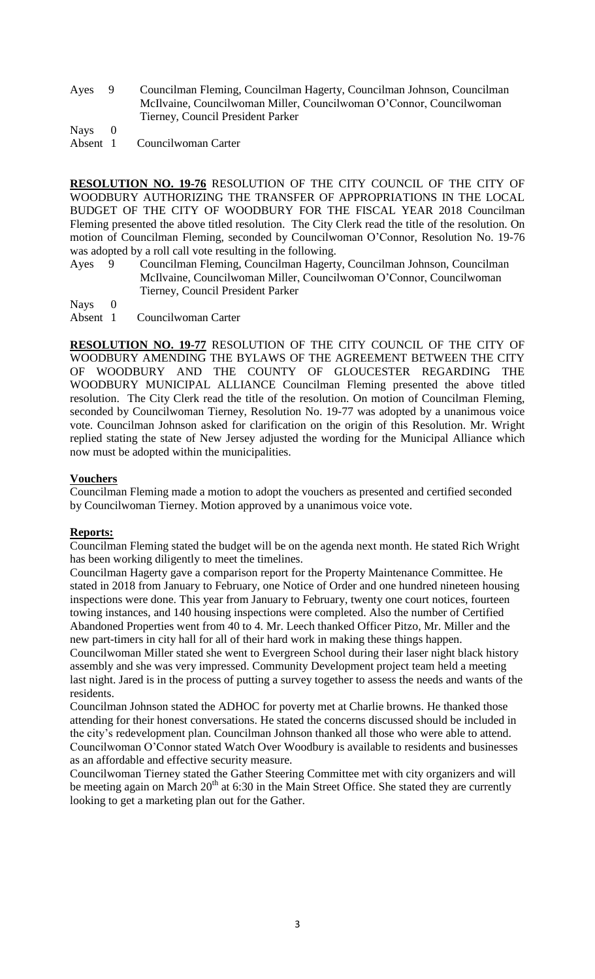Ayes 9 Councilman Fleming, Councilman Hagerty, Councilman Johnson, Councilman McIlvaine, Councilwoman Miller, Councilwoman O'Connor, Councilwoman Tierney, Council President Parker

Nays 0

Absent 1 Councilwoman Carter

**RESOLUTION NO. 19-76** RESOLUTION OF THE CITY COUNCIL OF THE CITY OF WOODBURY AUTHORIZING THE TRANSFER OF APPROPRIATIONS IN THE LOCAL BUDGET OF THE CITY OF WOODBURY FOR THE FISCAL YEAR 2018 Councilman Fleming presented the above titled resolution. The City Clerk read the title of the resolution. On motion of Councilman Fleming, seconded by Councilwoman O'Connor, Resolution No. 19-76 was adopted by a roll call vote resulting in the following.

Ayes 9 Councilman Fleming, Councilman Hagerty, Councilman Johnson, Councilman McIlvaine, Councilwoman Miller, Councilwoman O'Connor, Councilwoman Tierney, Council President Parker

Nays 0

Absent 1 Councilwoman Carter

**RESOLUTION NO. 19-77** RESOLUTION OF THE CITY COUNCIL OF THE CITY OF WOODBURY AMENDING THE BYLAWS OF THE AGREEMENT BETWEEN THE CITY OF WOODBURY AND THE COUNTY OF GLOUCESTER REGARDING THE WOODBURY MUNICIPAL ALLIANCE Councilman Fleming presented the above titled resolution. The City Clerk read the title of the resolution. On motion of Councilman Fleming, seconded by Councilwoman Tierney, Resolution No. 19-77 was adopted by a unanimous voice vote. Councilman Johnson asked for clarification on the origin of this Resolution. Mr. Wright replied stating the state of New Jersey adjusted the wording for the Municipal Alliance which now must be adopted within the municipalities.

# **Vouchers**

Councilman Fleming made a motion to adopt the vouchers as presented and certified seconded by Councilwoman Tierney. Motion approved by a unanimous voice vote.

# **Reports:**

Councilman Fleming stated the budget will be on the agenda next month. He stated Rich Wright has been working diligently to meet the timelines.

Councilman Hagerty gave a comparison report for the Property Maintenance Committee. He stated in 2018 from January to February, one Notice of Order and one hundred nineteen housing inspections were done. This year from January to February, twenty one court notices, fourteen towing instances, and 140 housing inspections were completed. Also the number of Certified Abandoned Properties went from 40 to 4. Mr. Leech thanked Officer Pitzo, Mr. Miller and the new part-timers in city hall for all of their hard work in making these things happen. Councilwoman Miller stated she went to Evergreen School during their laser night black history assembly and she was very impressed. Community Development project team held a meeting last night. Jared is in the process of putting a survey together to assess the needs and wants of the residents.

Councilman Johnson stated the ADHOC for poverty met at Charlie browns. He thanked those attending for their honest conversations. He stated the concerns discussed should be included in the city's redevelopment plan. Councilman Johnson thanked all those who were able to attend. Councilwoman O'Connor stated Watch Over Woodbury is available to residents and businesses as an affordable and effective security measure.

Councilwoman Tierney stated the Gather Steering Committee met with city organizers and will be meeting again on March  $20<sup>th</sup>$  at 6:30 in the Main Street Office. She stated they are currently looking to get a marketing plan out for the Gather.